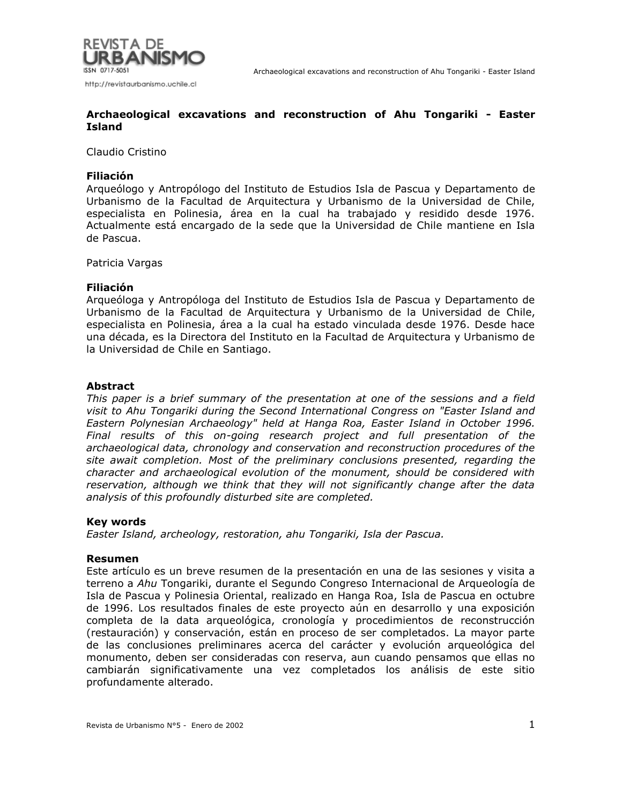

### Claudio Cristino

## **Filiación**

Arqueólogo y Antropólogo del Instituto de Estudios Isla de Pascua y Departamento de Urbanismo de la Facultad de Arquitectura y Urbanismo de la Universidad de Chile, especialista en Polinesia, área en la cual ha trabajado y residido desde 1976. Actualmente está encargado de la sede que la Universidad de Chile mantiene en Isla de Pascua.

Patricia Vargas

#### **Filiación**

Arqueóloga y Antropóloga del Instituto de Estudios Isla de Pascua y Departamento de Urbanismo de la Facultad de Arquitectura y Urbanismo de la Universidad de Chile, especialista en Polinesia, área a la cual ha estado vinculada desde 1976. Desde hace una década, es la Directora del Instituto en la Facultad de Arquitectura y Urbanismo de la Universidad de Chile en Santiago.

#### **Abstract**

*This paper is a brief summary of the presentation at one of the sessions and a field visit to Ahu Tongariki during the Second International Congress on "Easter Island and Eastern Polynesian Archaeology" held at Hanga Roa, Easter Island in October 1996. Final results of this on-going research project and full presentation of the archaeological data, chronology and conservation and reconstruction procedures of the site await completion. Most of the preliminary conclusions presented, regarding the character and archaeological evolution of the monument, should be considered with reservation, although we think that they will not significantly change after the data analysis of this profoundly disturbed site are completed.*

## **Key words**

*Easter Island, archeology, restoration, ahu Tongariki, Isla der Pascua.*

## **Resumen**

Este artículo es un breve resumen de la presentación en una de las sesiones y visita a terreno a *Ahu* Tongariki, durante el Segundo Congreso Internacional de Arqueología de Isla de Pascua y Polinesia Oriental, realizado en Hanga Roa, Isla de Pascua en octubre de 1996. Los resultados finales de este proyecto aún en desarrollo y una exposición completa de la data arqueológica, cronología y procedimientos de reconstrucción (restauración) y conservación, están en proceso de ser completados. La mayor parte de las conclusiones preliminares acerca del carácter y evolución arqueológica del monumento, deben ser consideradas con reserva, aun cuando pensamos que ellas no cambiarán significativamente una vez completados los análisis de este sitio profundamente alterado.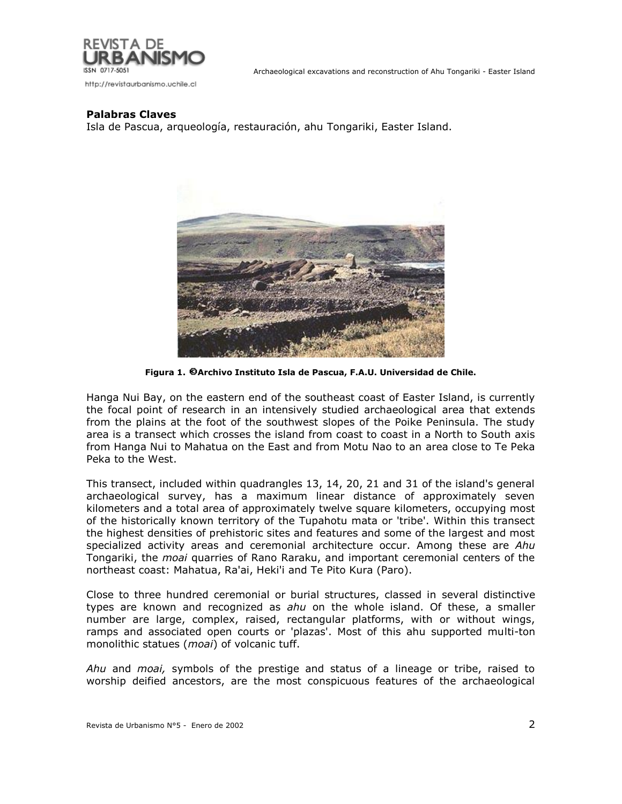

## **Palabras Claves**

Isla de Pascua, arqueología, restauración, ahu Tongariki, Easter Island.



**Figura 1. Archivo Instituto Isla de Pascua, F.A.U. Universidad de Chile.**

Hanga Nui Bay, on the eastern end of the southeast coast of Easter Island, is currently the focal point of research in an intensively studied archaeological area that extends from the plains at the foot of the southwest slopes of the Poike Peninsula. The study area is a transect which crosses the island from coast to coast in a North to South axis from Hanga Nui to Mahatua on the East and from Motu Nao to an area close to Te Peka Peka to the West.

This transect, included within quadrangles 13, 14, 20, 21 and 31 of the island's general archaeological survey, has a maximum linear distance of approximately seven kilometers and a total area of approximately twelve square kilometers, occupying most of the historically known territory of the Tupahotu mata or 'tribe'. Within this transect the highest densities of prehistoric sites and features and some of the largest and most specialized activity areas and ceremonial architecture occur. Among these are *Ahu* Tongariki, the *moai* quarries of Rano Raraku, and important ceremonial centers of the northeast coast: Mahatua, Ra'ai, Heki'i and Te Pito Kura (Paro).

Close to three hundred ceremonial or burial structures, classed in several distinctive types are known and recognized as *ahu* on the whole island. Of these, a smaller number are large, complex, raised, rectangular platforms, with or without wings, ramps and associated open courts or 'plazas'. Most of this ahu supported multi-ton monolithic statues (*moai*) of volcanic tuff.

*Ahu* and *moai,* symbols of the prestige and status of a lineage or tribe, raised to worship deified ancestors, are the most conspicuous features of the archaeological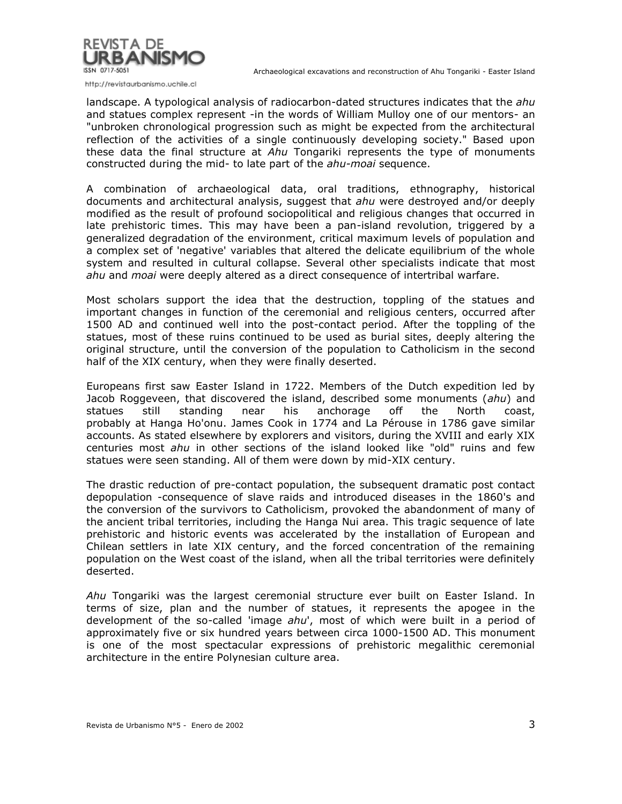

http://revistaurbanismo.uchile.cl

landscape. A typological analysis of radiocarbon-dated structures indicates that the *ahu* and statues complex represent -in the words of William Mulloy one of our mentors- an "unbroken chronological progression such as might be expected from the architectural reflection of the activities of a single continuously developing society." Based upon these data the final structure at *Ahu* Tongariki represents the type of monuments constructed during the mid- to late part of the *ahu-moai* sequence.

A combination of archaeological data, oral traditions, ethnography, historical documents and architectural analysis, suggest that *ahu* were destroyed and/or deeply modified as the result of profound sociopolitical and religious changes that occurred in late prehistoric times. This may have been a pan-island revolution, triggered by a generalized degradation of the environment, critical maximum levels of population and a complex set of 'negative' variables that altered the delicate equilibrium of the whole system and resulted in cultural collapse. Several other specialists indicate that most *ahu* and *moai* were deeply altered as a direct consequence of intertribal warfare.

Most scholars support the idea that the destruction, toppling of the statues and important changes in function of the ceremonial and religious centers, occurred after 1500 AD and continued well into the post-contact period. After the toppling of the statues, most of these ruins continued to be used as burial sites, deeply altering the original structure, until the conversion of the population to Catholicism in the second half of the XIX century, when they were finally deserted.

Europeans first saw Easter Island in 1722. Members of the Dutch expedition led by Jacob Roggeveen, that discovered the island, described some monuments (*ahu*) and statues still standing near his anchorage off the North coast, probably at Hanga Ho'onu. James Cook in 1774 and La Pérouse in 1786 gave similar accounts. As stated elsewhere by explorers and visitors, during the XVIII and early XIX centuries most *ahu* in other sections of the island looked like "old" ruins and few statues were seen standing. All of them were down by mid-XIX century.

The drastic reduction of pre-contact population, the subsequent dramatic post contact depopulation -consequence of slave raids and introduced diseases in the 1860's and the conversion of the survivors to Catholicism, provoked the abandonment of many of the ancient tribal territories, including the Hanga Nui area. This tragic sequence of late prehistoric and historic events was accelerated by the installation of European and Chilean settlers in late XIX century, and the forced concentration of the remaining population on the West coast of the island, when all the tribal territories were definitely deserted.

*Ahu* Tongariki was the largest ceremonial structure ever built on Easter Island. In terms of size, plan and the number of statues, it represents the apogee in the development of the so-called 'image *ahu*', most of which were built in a period of approximately five or six hundred years between circa 1000-1500 AD. This monument is one of the most spectacular expressions of prehistoric megalithic ceremonial architecture in the entire Polynesian culture area.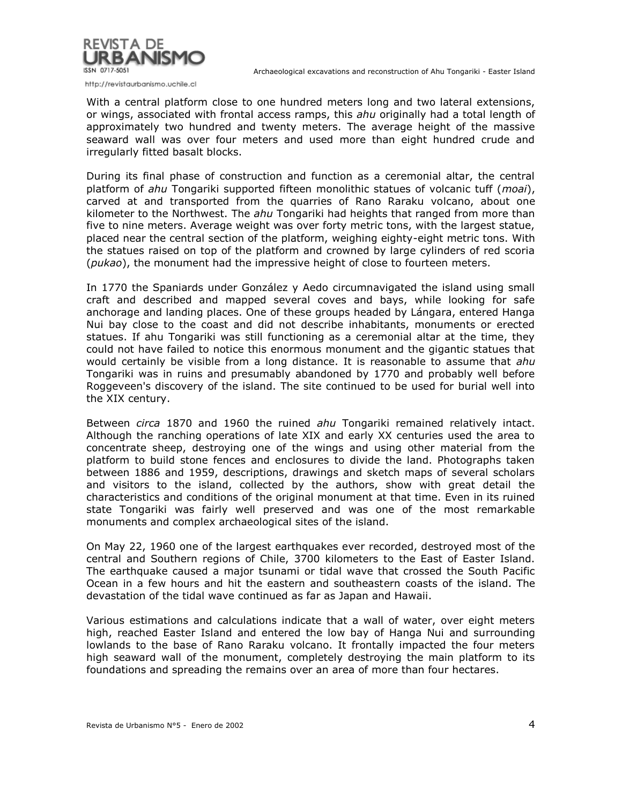

Archaeological excavations and reconstruction of Ahu Tongariki - Easter Island

With a central platform close to one hundred meters long and two lateral extensions, or wings, associated with frontal access ramps, this *ahu* originally had a total length of approximately two hundred and twenty meters. The average height of the massive seaward wall was over four meters and used more than eight hundred crude and irregularly fitted basalt blocks.

During its final phase of construction and function as a ceremonial altar, the central platform of *ahu* Tongariki supported fifteen monolithic statues of volcanic tuff (*moai*), carved at and transported from the quarries of Rano Raraku volcano, about one kilometer to the Northwest. The *ahu* Tongariki had heights that ranged from more than five to nine meters. Average weight was over forty metric tons, with the largest statue, placed near the central section of the platform, weighing eighty-eight metric tons. With the statues raised on top of the platform and crowned by large cylinders of red scoria (*pukao*), the monument had the impressive height of close to fourteen meters.

In 1770 the Spaniards under González y Aedo circumnavigated the island using small craft and described and mapped several coves and bays, while looking for safe anchorage and landing places. One of these groups headed by Lángara, entered Hanga Nui bay close to the coast and did not describe inhabitants, monuments or erected statues. If ahu Tongariki was still functioning as a ceremonial altar at the time, they could not have failed to notice this enormous monument and the gigantic statues that would certainly be visible from a long distance. It is reasonable to assume that *ahu* Tongariki was in ruins and presumably abandoned by 1770 and probably well before Roggeveen's discovery of the island. The site continued to be used for burial well into the XIX century.

Between *circa* 1870 and 1960 the ruined *ahu* Tongariki remained relatively intact. Although the ranching operations of late XIX and early XX centuries used the area to concentrate sheep, destroying one of the wings and using other material from the platform to build stone fences and enclosures to divide the land. Photographs taken between 1886 and 1959, descriptions, drawings and sketch maps of several scholars and visitors to the island, collected by the authors, show with great detail the characteristics and conditions of the original monument at that time. Even in its ruined state Tongariki was fairly well preserved and was one of the most remarkable monuments and complex archaeological sites of the island.

On May 22, 1960 one of the largest earthquakes ever recorded, destroyed most of the central and Southern regions of Chile, 3700 kilometers to the East of Easter Island. The earthquake caused a major tsunami or tidal wave that crossed the South Pacific Ocean in a few hours and hit the eastern and southeastern coasts of the island. The devastation of the tidal wave continued as far as Japan and Hawaii.

Various estimations and calculations indicate that a wall of water, over eight meters high, reached Easter Island and entered the low bay of Hanga Nui and surrounding lowlands to the base of Rano Raraku volcano. It frontally impacted the four meters high seaward wall of the monument, completely destroying the main platform to its foundations and spreading the remains over an area of more than four hectares.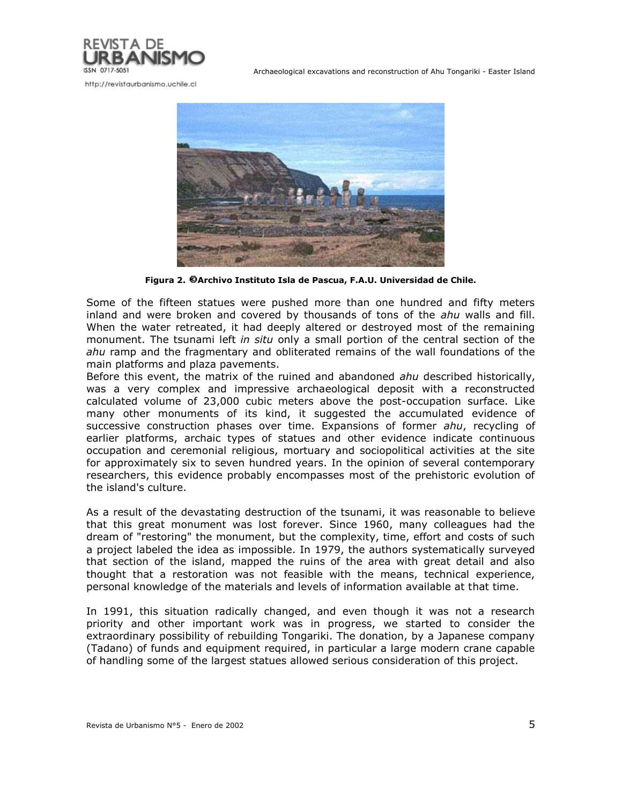

Archaeological excavations and reconstruction of Ahu Tongariki - Easter Island



**Figura 2. Archivo Instituto Isla de Pascua, F.A.U. Universidad de Chile.**

Some of the fifteen statues were pushed more than one hundred and fifty meters inland and were broken and covered by thousands of tons of the *ahu* walls and fill. When the water retreated, it had deeply altered or destroyed most of the remaining monument. The tsunami left *in situ* only a small portion of the central section of the *ahu* ramp and the fragmentary and obliterated remains of the wall foundations of the main platforms and plaza pavements.

Before this event, the matrix of the ruined and abandoned *ahu* described historically, was a very complex and impressive archaeological deposit with a reconstructed calculated volume of 23,000 cubic meters above the post-occupation surface. Like many other monuments of its kind, it suggested the accumulated evidence of successive construction phases over time. Expansions of former *ahu*, recycling of earlier platforms, archaic types of statues and other evidence indicate continuous occupation and ceremonial religious, mortuary and sociopolitical activities at the site for approximately six to seven hundred years. In the opinion of several contemporary researchers, this evidence probably encompasses most of the prehistoric evolution of the island's culture.

As a result of the devastating destruction of the tsunami, it was reasonable to believe that this great monument was lost forever. Since 1960, many colleagues had the dream of "restoring" the monument, but the complexity, time, effort and costs of such a project labeled the idea as impossible. In 1979, the authors systematically surveyed that section of the island, mapped the ruins of the area with great detail and also thought that a restoration was not feasible with the means, technical experience, personal knowledge of the materials and levels of information available at that time.

In 1991, this situation radically changed, and even though it was not a research priority and other important work was in progress, we started to consider the extraordinary possibility of rebuilding Tongariki. The donation, by a Japanese company (Tadano) of funds and equipment required, in particular a large modern crane capable of handling some of the largest statues allowed serious consideration of this project.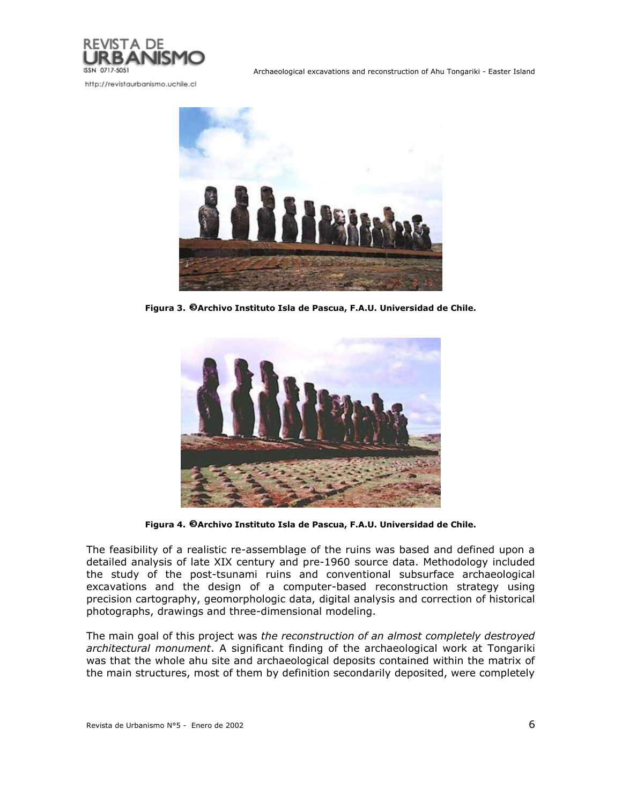



**Figura 3. Archivo Instituto Isla de Pascua, F.A.U. Universidad de Chile.**



**Figura 4. Archivo Instituto Isla de Pascua, F.A.U. Universidad de Chile.**

The feasibility of a realistic re-assemblage of the ruins was based and defined upon a detailed analysis of late XIX century and pre-1960 source data. Methodology included the study of the post-tsunami ruins and conventional subsurface archaeological excavations and the design of a computer-based reconstruction strategy using precision cartography, geomorphologic data, digital analysis and correction of historical photographs, drawings and three-dimensional modeling.

The main goal of this project was *the reconstruction of an almost completely destroyed architectural monument*. A significant finding of the archaeological work at Tongariki was that the whole ahu site and archaeological deposits contained within the matrix of the main structures, most of them by definition secondarily deposited, were completely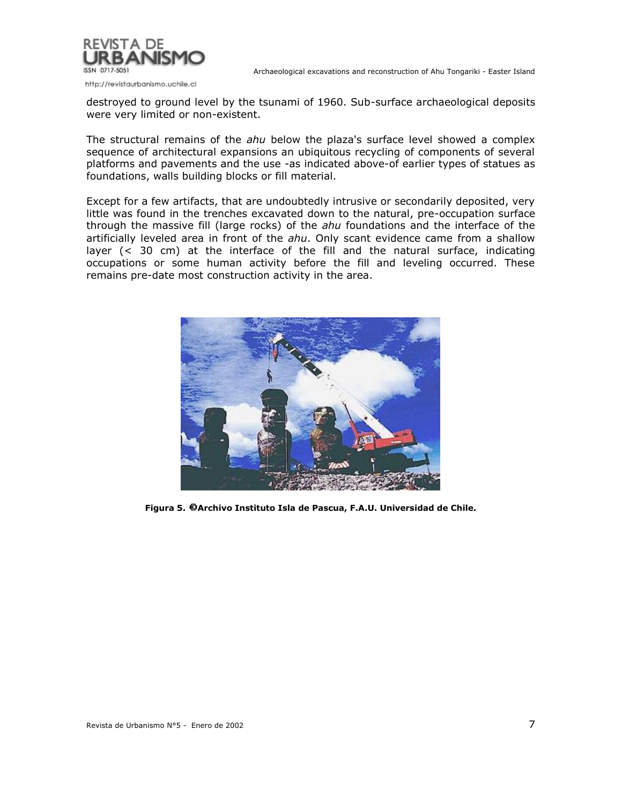

http://revistaurbanismo.uchile.cl

destroyed to ground level by the tsunami of 1960. Sub-surface archaeological deposits were very limited or non-existent.

The structural remains of the *ahu* below the plaza's surface level showed a complex sequence of architectural expansions an ubiquitous recycling of components of several platforms and pavements and the use -as indicated above-of earlier types of statues as foundations, walls building blocks or fill material.

Except for a few artifacts, that are undoubtedly intrusive or secondarily deposited, very little was found in the trenches excavated down to the natural, pre-occupation surface through the massive fill (large rocks) of the *ahu* foundations and the interface of the artificially leveled area in front of the *ahu*. Only scant evidence came from a shallow layer (< 30 cm) at the interface of the fill and the natural surface, indicating occupations or some human activity before the fill and leveling occurred. These remains pre-date most construction activity in the area.



**Figura 5. Archivo Instituto Isla de Pascua, F.A.U. Universidad de Chile.**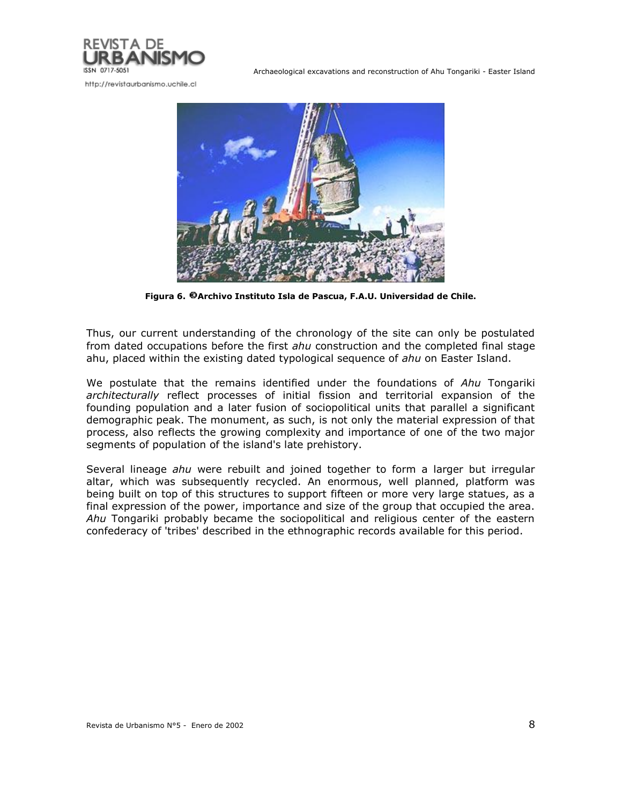

Archaeological excavations and reconstruction of Ahu Tongariki - Easter Island



**Figura 6. Archivo Instituto Isla de Pascua, F.A.U. Universidad de Chile.**

Thus, our current understanding of the chronology of the site can only be postulated from dated occupations before the first *ahu* construction and the completed final stage ahu, placed within the existing dated typological sequence of *ahu* on Easter Island.

We postulate that the remains identified under the foundations of *Ahu* Tongariki *architecturally* reflect processes of initial fission and territorial expansion of the founding population and a later fusion of sociopolitical units that parallel a significant demographic peak. The monument, as such, is not only the material expression of that process, also reflects the growing complexity and importance of one of the two major segments of population of the island's late prehistory.

Several lineage *ahu* were rebuilt and joined together to form a larger but irregular altar, which was subsequently recycled. An enormous, well planned, platform was being built on top of this structures to support fifteen or more very large statues, as a final expression of the power, importance and size of the group that occupied the area. *Ahu* Tongariki probably became the sociopolitical and religious center of the eastern confederacy of 'tribes' described in the ethnographic records available for this period.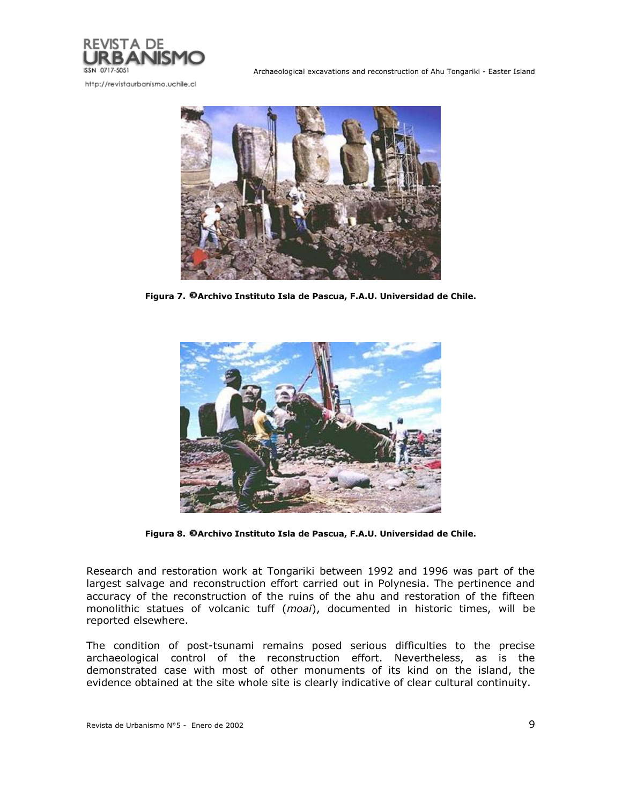

Archaeological excavations and reconstruction of Ahu Tongariki - Easter Island



**Figura 7. Archivo Instituto Isla de Pascua, F.A.U. Universidad de Chile.**



**Figura 8. Archivo Instituto Isla de Pascua, F.A.U. Universidad de Chile.**

Research and restoration work at Tongariki between 1992 and 1996 was part of the largest salvage and reconstruction effort carried out in Polynesia. The pertinence and accuracy of the reconstruction of the ruins of the ahu and restoration of the fifteen monolithic statues of volcanic tuff (*moai*), documented in historic times, will be reported elsewhere.

The condition of post-tsunami remains posed serious difficulties to the precise archaeological control of the reconstruction effort. Nevertheless, as is the demonstrated case with most of other monuments of its kind on the island, the evidence obtained at the site whole site is clearly indicative of clear cultural continuity.